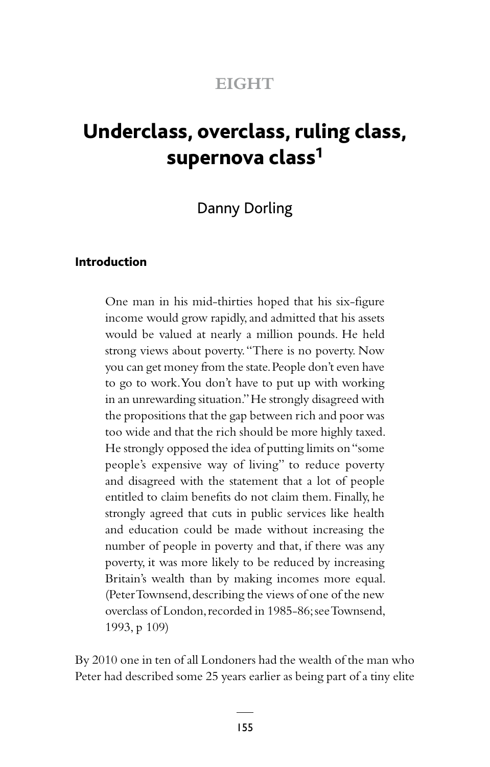# **eight**

# Underclass, overclass, ruling class, supernova class<sup>1</sup>

# Danny Dorling

#### Introduction

One man in his mid-thirties hoped that his six-figure income would grow rapidly, and admitted that his assets would be valued at nearly a million pounds. He held strong views about poverty. "There is no poverty. Now you can get money from the state. People don't even have to go to work. You don't have to put up with working in an unrewarding situation." He strongly disagreed with the propositions that the gap between rich and poor was too wide and that the rich should be more highly taxed. He strongly opposed the idea of putting limits on "some people's expensive way of living" to reduce poverty and disagreed with the statement that a lot of people entitled to claim benefits do not claim them. Finally, he strongly agreed that cuts in public services like health and education could be made without increasing the number of people in poverty and that, if there was any poverty, it was more likely to be reduced by increasing Britain's wealth than by making incomes more equal. (Peter Townsend, describing the views of one of the new overclass of London, recorded in 1985-86; see Townsend, 1993, p 109)

By 2010 one in ten of all Londoners had the wealth of the man who Peter had described some 25 years earlier as being part of a tiny elite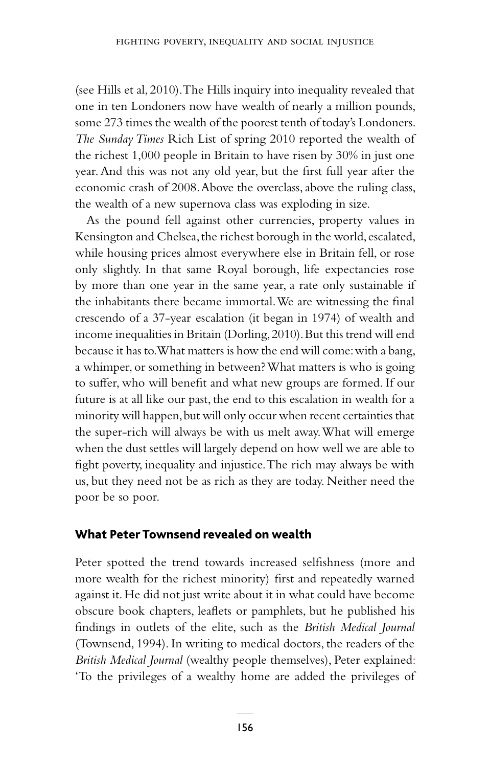(see Hills et al, 2010). The Hills inquiry into inequality revealed that one in ten Londoners now have wealth of nearly a million pounds, some 273 times the wealth of the poorest tenth of today's Londoners. *The Sunday Times* Rich List of spring 2010 reported the wealth of the richest 1,000 people in Britain to have risen by 30% in just one year. And this was not any old year, but the first full year after the economic crash of 2008. Above the overclass, above the ruling class, the wealth of a new supernova class was exploding in size.

As the pound fell against other currencies, property values in Kensington and Chelsea, the richest borough in the world, escalated, while housing prices almost everywhere else in Britain fell, or rose only slightly. In that same Royal borough, life expectancies rose by more than one year in the same year, a rate only sustainable if the inhabitants there became immortal. We are witnessing the final crescendo of a 37-year escalation (it began in 1974) of wealth and income inequalities in Britain (Dorling, 2010). But this trend will end because it has to. What matters is how the end will come: with a bang, a whimper, or something in between? What matters is who is going to suffer, who will benefit and what new groups are formed. If our future is at all like our past, the end to this escalation in wealth for a minority will happen, but will only occur when recent certainties that the super-rich will always be with us melt away. What will emerge when the dust settles will largely depend on how well we are able to fight poverty, inequality and injustice. The rich may always be with us, but they need not be as rich as they are today. Neither need the poor be so poor.

#### What Peter Townsend revealed on wealth

Peter spotted the trend towards increased selfishness (more and more wealth for the richest minority) first and repeatedly warned against it. He did not just write about it in what could have become obscure book chapters, leaflets or pamphlets, but he published his findings in outlets of the elite, such as the *British Medical Journal* (Townsend, 1994). In writing to medical doctors, the readers of the *British Medical Journal* (wealthy people themselves), Peter explained: 'To the privileges of a wealthy home are added the privileges of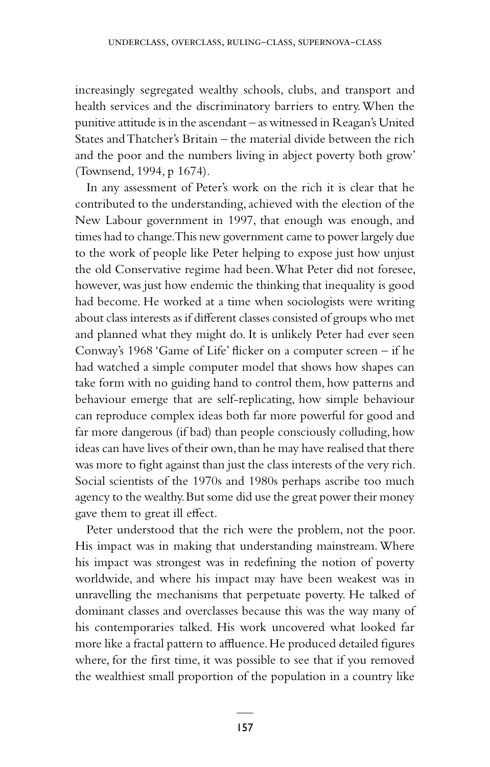increasingly segregated wealthy schools, clubs, and transport and health services and the discriminatory barriers to entry. When the punitive attitude is in the ascendant – as witnessed in Reagan's United States and Thatcher's Britain – the material divide between the rich and the poor and the numbers living in abject poverty both grow' (Townsend, 1994, p 1674).

In any assessment of Peter's work on the rich it is clear that he contributed to the understanding, achieved with the election of the New Labour government in 1997, that enough was enough, and times had to change. This new government came to power largely due to the work of people like Peter helping to expose just how unjust the old Conservative regime had been. What Peter did not foresee, however, was just how endemic the thinking that inequality is good had become. He worked at a time when sociologists were writing about class interests as if different classes consisted of groups who met and planned what they might do. It is unlikely Peter had ever seen Conway's 1968 'Game of Life' flicker on a computer screen – if he had watched a simple computer model that shows how shapes can take form with no guiding hand to control them, how patterns and behaviour emerge that are self-replicating, how simple behaviour can reproduce complex ideas both far more powerful for good and far more dangerous (if bad) than people consciously colluding, how ideas can have lives of their own, than he may have realised that there was more to fight against than just the class interests of the very rich. Social scientists of the 1970s and 1980s perhaps ascribe too much agency to the wealthy. But some did use the great power their money gave them to great ill effect.

Peter understood that the rich were the problem, not the poor. His impact was in making that understanding mainstream. Where his impact was strongest was in redefining the notion of poverty worldwide, and where his impact may have been weakest was in unravelling the mechanisms that perpetuate poverty. He talked of dominant classes and overclasses because this was the way many of his contemporaries talked. His work uncovered what looked far more like a fractal pattern to affluence. He produced detailed figures where, for the first time, it was possible to see that if you removed the wealthiest small proportion of the population in a country like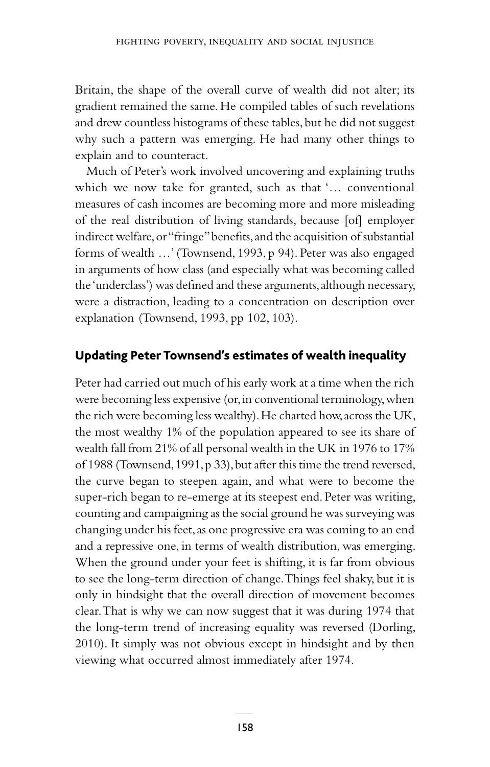Britain, the shape of the overall curve of wealth did not alter; its gradient remained the same. He compiled tables of such revelations and drew countless histograms of these tables, but he did not suggest why such a pattern was emerging. He had many other things to explain and to counteract.

Much of Peter's work involved uncovering and explaining truths which we now take for granted, such as that '… conventional measures of cash incomes are becoming more and more misleading of the real distribution of living standards, because [of] employer indirect welfare, or "fringe" benefits, and the acquisition of substantial forms of wealth …' (Townsend, 1993, p 94). Peter was also engaged in arguments of how class (and especially what was becoming called the 'underclass') was defined and these arguments, although necessary, were a distraction, leading to a concentration on description over explanation (Townsend, 1993, pp 102, 103).

#### Updating Peter Townsend's estimates of wealth inequality

Peter had carried out much of his early work at a time when the rich were becoming less expensive (or, in conventional terminology, when the rich were becoming less wealthy). He charted how, across the UK, the most wealthy 1% of the population appeared to see its share of wealth fall from 21% of all personal wealth in the UK in 1976 to 17% of 1988 (Townsend, 1991, p 33), but after this time the trend reversed, the curve began to steepen again, and what were to become the super-rich began to re-emerge at its steepest end. Peter was writing, counting and campaigning as the social ground he was surveying was changing under his feet, as one progressive era was coming to an end and a repressive one, in terms of wealth distribution, was emerging. When the ground under your feet is shifting, it is far from obvious to see the long-term direction of change. Things feel shaky, but it is only in hindsight that the overall direction of movement becomes clear. That is why we can now suggest that it was during 1974 that the long-term trend of increasing equality was reversed (Dorling, 2010). It simply was not obvious except in hindsight and by then viewing what occurred almost immediately after 1974.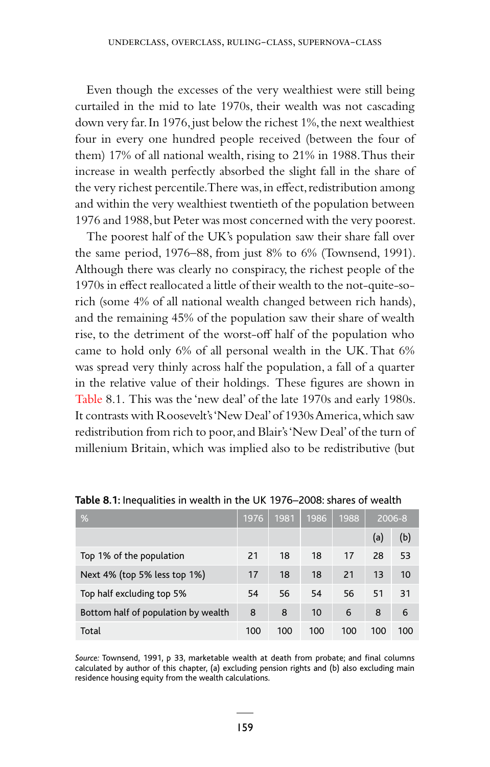Even though the excesses of the very wealthiest were still being curtailed in the mid to late 1970s, their wealth was not cascading down very far. In 1976, just below the richest 1%, the next wealthiest four in every one hundred people received (between the four of them) 17% of all national wealth, rising to 21% in 1988. Thus their increase in wealth perfectly absorbed the slight fall in the share of the very richest percentile. There was, in effect, redistribution among and within the very wealthiest twentieth of the population between 1976 and 1988, but Peter was most concerned with the very poorest.

The poorest half of the UK's population saw their share fall over the same period, 1976–88, from just 8% to 6% (Townsend, 1991). Although there was clearly no conspiracy, the richest people of the 1970s in effect reallocated a little of their wealth to the not-quite-sorich (some 4% of all national wealth changed between rich hands), and the remaining 45% of the population saw their share of wealth rise, to the detriment of the worst-off half of the population who came to hold only 6% of all personal wealth in the UK. That 6% was spread very thinly across half the population, a fall of a quarter in the relative value of their holdings. These figures are shown in Table 8.1. This was the 'new deal' of the late 1970s and early 1980s. It contrasts with Roosevelt's 'New Deal' of 1930s America, which saw redistribution from rich to poor, and Blair's 'New Deal' of the turn of millenium Britain, which was implied also to be redistributive (but

| %                                   | 1976 | 1981 | 1986 | 1988 | 2006-8 |     |
|-------------------------------------|------|------|------|------|--------|-----|
|                                     |      |      |      |      | (a)    | (b) |
| Top 1% of the population            | 21   | 18   | 18   | 17   | 28     | 53  |
| Next 4% (top 5% less top 1%)        | 17   | 18   | 18   | 21   | 13     | 10  |
| Top half excluding top 5%           | 54   | 56   | 54   | 56   | 51     | 31  |
| Bottom half of population by wealth | 8    | 8    | 10   | 6    | 8      | 6   |
| Total                               | 100  | 100  | 100  | 100  | 100    | 100 |

**Table 8.1:** Inequalities in wealth in the UK 1976–2008: shares of wealth

*Source:* Townsend, 1991, p 33, marketable wealth at death from probate; and final columns calculated by author of this chapter, (a) excluding pension rights and (b) also excluding main residence housing equity from the wealth calculations.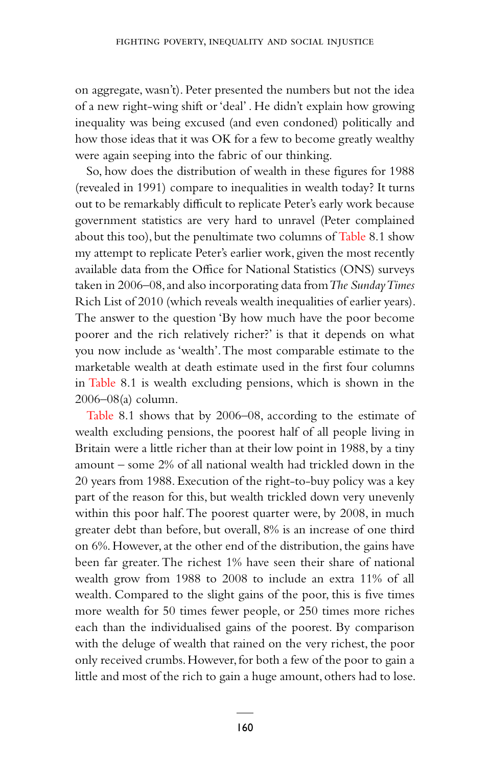on aggregate, wasn't). Peter presented the numbers but not the idea of a new right-wing shift or 'deal' . He didn't explain how growing inequality was being excused (and even condoned) politically and how those ideas that it was OK for a few to become greatly wealthy were again seeping into the fabric of our thinking.

So, how does the distribution of wealth in these figures for 1988 (revealed in 1991) compare to inequalities in wealth today? It turns out to be remarkably difficult to replicate Peter's early work because government statistics are very hard to unravel (Peter complained about this too), but the penultimate two columns of Table 8.1 show my attempt to replicate Peter's earlier work, given the most recently available data from the Office for National Statistics (ONS) surveys taken in 2006–08, and also incorporating data from *The Sunday Times* Rich List of 2010 (which reveals wealth inequalities of earlier years). The answer to the question 'By how much have the poor become poorer and the rich relatively richer?' is that it depends on what you now include as 'wealth'. The most comparable estimate to the marketable wealth at death estimate used in the first four columns in Table 8.1 is wealth excluding pensions, which is shown in the 2006–08(a) column.

Table 8.1 shows that by 2006–08, according to the estimate of wealth excluding pensions, the poorest half of all people living in Britain were a little richer than at their low point in 1988, by a tiny amount – some 2% of all national wealth had trickled down in the 20 years from 1988. Execution of the right-to-buy policy was a key part of the reason for this, but wealth trickled down very unevenly within this poor half. The poorest quarter were, by 2008, in much greater debt than before, but overall, 8% is an increase of one third on 6%. However, at the other end of the distribution, the gains have been far greater. The richest 1% have seen their share of national wealth grow from 1988 to 2008 to include an extra 11% of all wealth. Compared to the slight gains of the poor, this is five times more wealth for 50 times fewer people, or 250 times more riches each than the individualised gains of the poorest. By comparison with the deluge of wealth that rained on the very richest, the poor only received crumbs. However, for both a few of the poor to gain a little and most of the rich to gain a huge amount, others had to lose.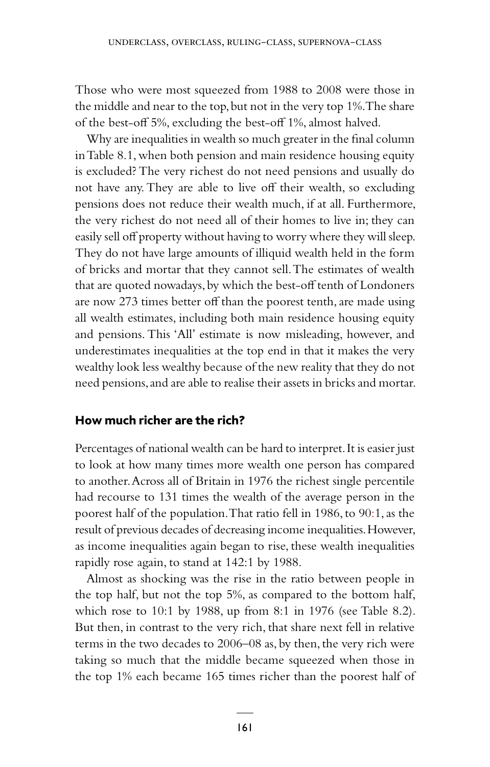Those who were most squeezed from 1988 to 2008 were those in the middle and near to the top, but not in the very top 1%. The share of the best-off 5%, excluding the best-off 1%, almost halved.

Why are inequalities in wealth so much greater in the final column in Table 8.1, when both pension and main residence housing equity is excluded? The very richest do not need pensions and usually do not have any. They are able to live off their wealth, so excluding pensions does not reduce their wealth much, if at all. Furthermore, the very richest do not need all of their homes to live in; they can easily sell off property without having to worry where they will sleep. They do not have large amounts of illiquid wealth held in the form of bricks and mortar that they cannot sell. The estimates of wealth that are quoted nowadays, by which the best-off tenth of Londoners are now 273 times better off than the poorest tenth, are made using all wealth estimates, including both main residence housing equity and pensions. This 'All' estimate is now misleading, however, and underestimates inequalities at the top end in that it makes the very wealthy look less wealthy because of the new reality that they do not need pensions, and are able to realise their assets in bricks and mortar.

## How much richer are the rich?

Percentages of national wealth can be hard to interpret. It is easier just to look at how many times more wealth one person has compared to another. Across all of Britain in 1976 the richest single percentile had recourse to 131 times the wealth of the average person in the poorest half of the population. That ratio fell in 1986, to 90:1, as the result of previous decades of decreasing income inequalities. However, as income inequalities again began to rise, these wealth inequalities rapidly rose again, to stand at 142:1 by 1988.

Almost as shocking was the rise in the ratio between people in the top half, but not the top 5%, as compared to the bottom half, which rose to 10:1 by 1988, up from 8:1 in 1976 (see Table 8.2). But then, in contrast to the very rich, that share next fell in relative terms in the two decades to 2006–08 as, by then, the very rich were taking so much that the middle became squeezed when those in the top 1% each became 165 times richer than the poorest half of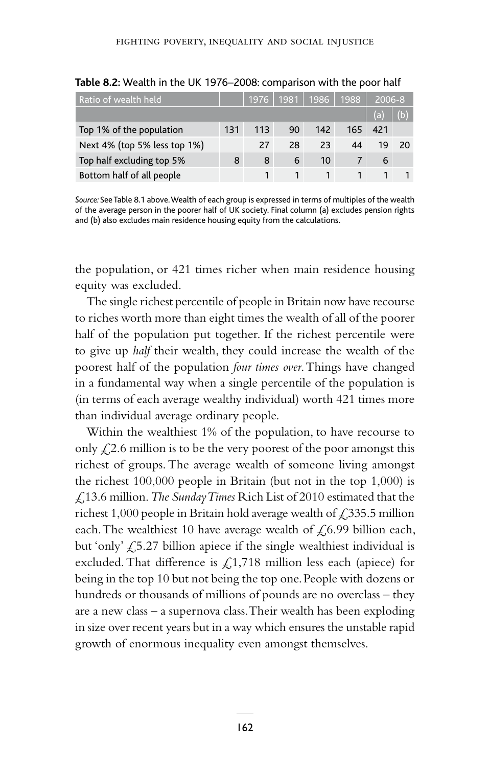| Ratio of wealth held         |     | 1976 l | 1981 | 1986 | 1988 | 2006-8 |     |  |
|------------------------------|-----|--------|------|------|------|--------|-----|--|
|                              |     |        |      |      |      |        |     |  |
| Top 1% of the population     | 131 | 113    | 90   | 142  | 165  | 421    |     |  |
| Next 4% (top 5% less top 1%) |     | 27     | 28   | 23   | 44   | 19     | -20 |  |
| Top half excluding top 5%    | 8   | 8      | 6    | 10   |      | 6      |     |  |
| Bottom half of all people    |     |        |      |      |      |        |     |  |

**Table 8.2:** Wealth in the UK 1976–2008: comparison with the poor half

*Source:* See Table 8.1 above. Wealth of each group is expressed in terms of multiples of the wealth of the average person in the poorer half of UK society. Final column (a) excludes pension rights and (b) also excludes main residence housing equity from the calculations.

the population, or 421 times richer when main residence housing equity was excluded.

The single richest percentile of people in Britain now have recourse to riches worth more than eight times the wealth of all of the poorer half of the population put together. If the richest percentile were to give up *half* their wealth, they could increase the wealth of the poorest half of the population *four times over*. Things have changed in a fundamental way when a single percentile of the population is (in terms of each average wealthy individual) worth 421 times more than individual average ordinary people.

Within the wealthiest 1% of the population, to have recourse to only  $\zeta$  2.6 million is to be the very poorest of the poor amongst this richest of groups. The average wealth of someone living amongst the richest 100,000 people in Britain (but not in the top 1,000) is £13.6 million. *The Sunday Times* Rich List of 2010 estimated that the richest 1,000 people in Britain hold average wealth of  $\text{\textsterling}335.5$  million each. The wealthiest 10 have average wealth of  $\zeta$ 6.99 billion each, but 'only'  $\sqrt{5.27}$  billion apiece if the single wealthiest individual is excluded. That difference is  $\mathcal{L}$ , 1,718 million less each (apiece) for being in the top 10 but not being the top one. People with dozens or hundreds or thousands of millions of pounds are no overclass – they are a new class – a supernova class. Their wealth has been exploding in size over recent years but in a way which ensures the unstable rapid growth of enormous inequality even amongst themselves.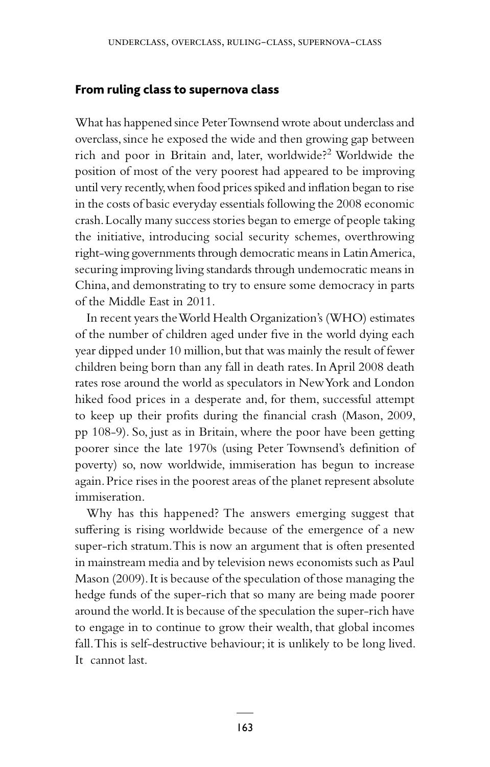#### From ruling class to supernova class

What has happened since Peter Townsend wrote about underclass and overclass, since he exposed the wide and then growing gap between rich and poor in Britain and, later, worldwide?2 Worldwide the position of most of the very poorest had appeared to be improving until very recently, when food prices spiked and inflation began to rise in the costs of basic everyday essentials following the 2008 economic crash. Locally many success stories began to emerge of people taking the initiative, introducing social security schemes, overthrowing right-wing governments through democratic means in Latin America, securing improving living standards through undemocratic means in China, and demonstrating to try to ensure some democracy in parts of the Middle East in 2011.

In recent years the World Health Organization's (WHO) estimates of the number of children aged under five in the world dying each year dipped under 10 million, but that was mainly the result of fewer children being born than any fall in death rates. In April 2008 death rates rose around the world as speculators in New York and London hiked food prices in a desperate and, for them, successful attempt to keep up their profits during the financial crash (Mason, 2009, pp 108-9). So, just as in Britain, where the poor have been getting poorer since the late 1970s (using Peter Townsend's definition of poverty) so, now worldwide, immiseration has begun to increase again. Price rises in the poorest areas of the planet represent absolute immiseration.

Why has this happened? The answers emerging suggest that suffering is rising worldwide because of the emergence of a new super-rich stratum. This is now an argument that is often presented in mainstream media and by television news economists such as Paul Mason (2009). It is because of the speculation of those managing the hedge funds of the super-rich that so many are being made poorer around the world. It is because of the speculation the super-rich have to engage in to continue to grow their wealth, that global incomes fall. This is self-destructive behaviour; it is unlikely to be long lived. It cannot last.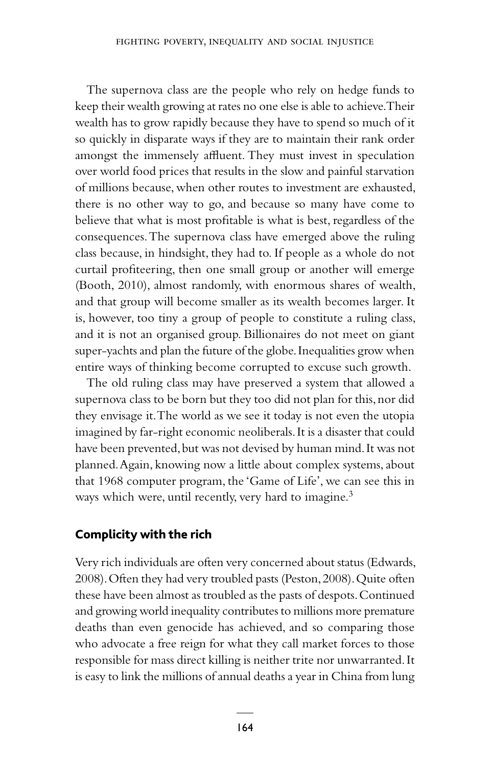The supernova class are the people who rely on hedge funds to keep their wealth growing at rates no one else is able to achieve. Their wealth has to grow rapidly because they have to spend so much of it so quickly in disparate ways if they are to maintain their rank order amongst the immensely affluent. They must invest in speculation over world food prices that results in the slow and painful starvation of millions because, when other routes to investment are exhausted, there is no other way to go, and because so many have come to believe that what is most profitable is what is best, regardless of the consequences. The supernova class have emerged above the ruling class because, in hindsight, they had to. If people as a whole do not curtail profiteering, then one small group or another will emerge (Booth, 2010), almost randomly, with enormous shares of wealth, and that group will become smaller as its wealth becomes larger. It is, however, too tiny a group of people to constitute a ruling class, and it is not an organised group. Billionaires do not meet on giant super-yachts and plan the future of the globe. Inequalities grow when entire ways of thinking become corrupted to excuse such growth.

The old ruling class may have preserved a system that allowed a supernova class to be born but they too did not plan for this, nor did they envisage it. The world as we see it today is not even the utopia imagined by far-right economic neoliberals. It is a disaster that could have been prevented, but was not devised by human mind. It was not planned. Again, knowing now a little about complex systems, about that 1968 computer program, the 'Game of Life', we can see this in ways which were, until recently, very hard to imagine.<sup>3</sup>

# Complicity with the rich

Very rich individuals are often very concerned about status (Edwards, 2008). Often they had very troubled pasts (Peston, 2008). Quite often these have been almost as troubled as the pasts of despots. Continued and growing world inequality contributes to millions more premature deaths than even genocide has achieved, and so comparing those who advocate a free reign for what they call market forces to those responsible for mass direct killing is neither trite nor unwarranted. It is easy to link the millions of annual deaths a year in China from lung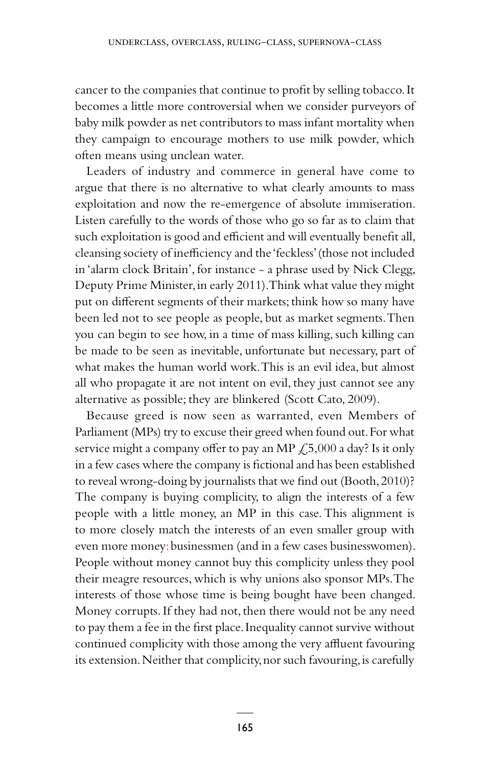cancer to the companies that continue to profit by selling tobacco. It becomes a little more controversial when we consider purveyors of baby milk powder as net contributors to mass infant mortality when they campaign to encourage mothers to use milk powder, which often means using unclean water.

Leaders of industry and commerce in general have come to argue that there is no alternative to what clearly amounts to mass exploitation and now the re-emergence of absolute immiseration. Listen carefully to the words of those who go so far as to claim that such exploitation is good and efficient and will eventually benefit all, cleansing society of inefficiency and the 'feckless' (those not included in 'alarm clock Britain', for instance - a phrase used by Nick Clegg, Deputy Prime Minister, in early 2011). Think what value they might put on different segments of their markets; think how so many have been led not to see people as people, but as market segments. Then you can begin to see how, in a time of mass killing, such killing can be made to be seen as inevitable, unfortunate but necessary, part of what makes the human world work. This is an evil idea, but almost all who propagate it are not intent on evil, they just cannot see any alternative as possible; they are blinkered (Scott Cato, 2009).

Because greed is now seen as warranted, even Members of Parliament (MPs) try to excuse their greed when found out. For what service might a company offer to pay an MP  $\text{\textsterling},5,000$  a day? Is it only in a few cases where the company is fictional and has been established to reveal wrong-doing by journalists that we find out (Booth, 2010)? The company is buying complicity, to align the interests of a few people with a little money, an MP in this case. This alignment is to more closely match the interests of an even smaller group with even more money: businessmen (and in a few cases businesswomen). People without money cannot buy this complicity unless they pool their meagre resources, which is why unions also sponsor MPs. The interests of those whose time is being bought have been changed. Money corrupts. If they had not, then there would not be any need to pay them a fee in the first place. Inequality cannot survive without continued complicity with those among the very affluent favouring its extension. Neither that complicity, nor such favouring, is carefully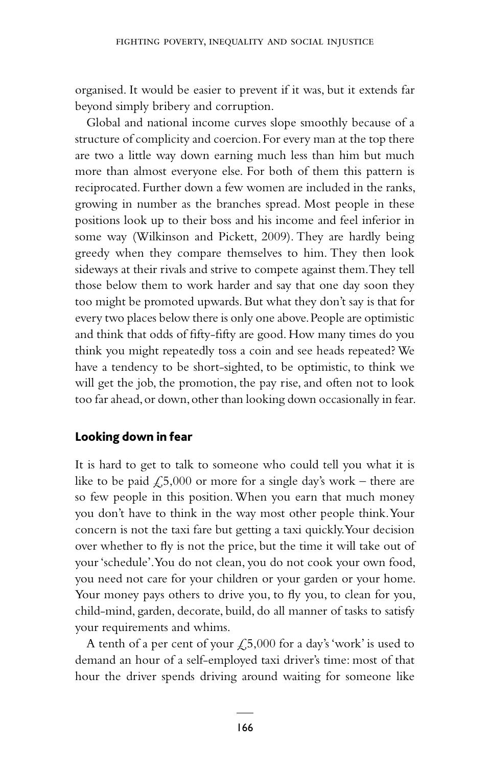organised. It would be easier to prevent if it was, but it extends far beyond simply bribery and corruption.

Global and national income curves slope smoothly because of a structure of complicity and coercion. For every man at the top there are two a little way down earning much less than him but much more than almost everyone else. For both of them this pattern is reciprocated. Further down a few women are included in the ranks, growing in number as the branches spread. Most people in these positions look up to their boss and his income and feel inferior in some way (Wilkinson and Pickett, 2009). They are hardly being greedy when they compare themselves to him. They then look sideways at their rivals and strive to compete against them. They tell those below them to work harder and say that one day soon they too might be promoted upwards. But what they don't say is that for every two places below there is only one above. People are optimistic and think that odds of fifty-fifty are good. How many times do you think you might repeatedly toss a coin and see heads repeated? We have a tendency to be short-sighted, to be optimistic, to think we will get the job, the promotion, the pay rise, and often not to look too far ahead, or down, other than looking down occasionally in fear.

#### Looking down in fear

It is hard to get to talk to someone who could tell you what it is like to be paid  $\sqrt{(5,000)}$  or more for a single day's work – there are so few people in this position. When you earn that much money you don't have to think in the way most other people think. Your concern is not the taxi fare but getting a taxi quickly. Your decision over whether to fly is not the price, but the time it will take out of your 'schedule'. You do not clean, you do not cook your own food, you need not care for your children or your garden or your home. Your money pays others to drive you, to fly you, to clean for you, child-mind, garden, decorate, build, do all manner of tasks to satisfy your requirements and whims.

A tenth of a per cent of your  $\sqrt{(5,000)}$  for a day's 'work' is used to demand an hour of a self-employed taxi driver's time: most of that hour the driver spends driving around waiting for someone like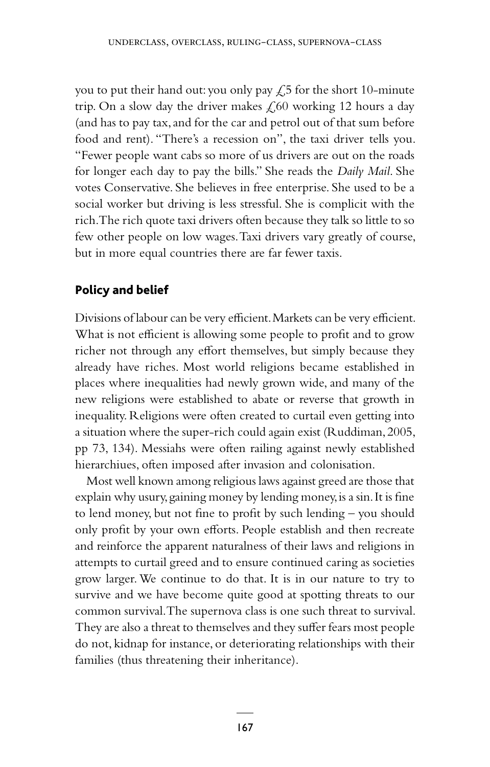you to put their hand out: you only pay  $\sqrt{5}$  for the short 10-minute trip. On a slow day the driver makes  $\angle 60$  working 12 hours a day (and has to pay tax, and for the car and petrol out of that sum before food and rent). "There's a recession on", the taxi driver tells you. "Fewer people want cabs so more of us drivers are out on the roads for longer each day to pay the bills." She reads the *Daily Mail*. She votes Conservative. She believes in free enterprise. She used to be a social worker but driving is less stressful. She is complicit with the rich. The rich quote taxi drivers often because they talk so little to so few other people on low wages. Taxi drivers vary greatly of course, but in more equal countries there are far fewer taxis.

#### Policy and belief

Divisions of labour can be very efficient. Markets can be very efficient. What is not efficient is allowing some people to profit and to grow richer not through any effort themselves, but simply because they already have riches. Most world religions became established in places where inequalities had newly grown wide, and many of the new religions were established to abate or reverse that growth in inequality. Religions were often created to curtail even getting into a situation where the super-rich could again exist (Ruddiman, 2005, pp 73, 134). Messiahs were often railing against newly established hierarchiues, often imposed after invasion and colonisation.

Most well known among religious laws against greed are those that explain why usury, gaining money by lending money, is a sin. It is fine to lend money, but not fine to profit by such lending – you should only profit by your own efforts. People establish and then recreate and reinforce the apparent naturalness of their laws and religions in attempts to curtail greed and to ensure continued caring as societies grow larger. We continue to do that. It is in our nature to try to survive and we have become quite good at spotting threats to our common survival. The supernova class is one such threat to survival. They are also a threat to themselves and they suffer fears most people do not, kidnap for instance, or deteriorating relationships with their families (thus threatening their inheritance).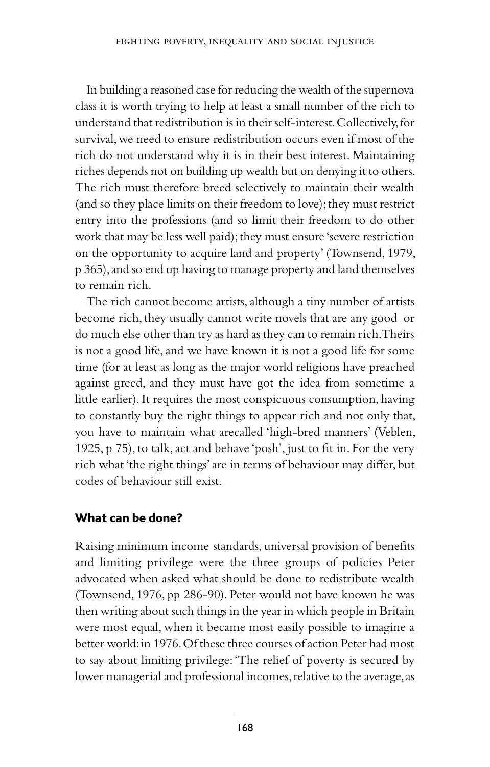In building a reasoned case for reducing the wealth of the supernova class it is worth trying to help at least a small number of the rich to understand that redistribution is in their self-interest. Collectively, for survival, we need to ensure redistribution occurs even if most of the rich do not understand why it is in their best interest. Maintaining riches depends not on building up wealth but on denying it to others. The rich must therefore breed selectively to maintain their wealth (and so they place limits on their freedom to love); they must restrict entry into the professions (and so limit their freedom to do other work that may be less well paid); they must ensure 'severe restriction on the opportunity to acquire land and property' (Townsend, 1979, p 365), and so end up having to manage property and land themselves to remain rich.

The rich cannot become artists, although a tiny number of artists become rich, they usually cannot write novels that are any good or do much else other than try as hard as they can to remain rich. Theirs is not a good life, and we have known it is not a good life for some time (for at least as long as the major world religions have preached against greed, and they must have got the idea from sometime a little earlier). It requires the most conspicuous consumption, having to constantly buy the right things to appear rich and not only that, you have to maintain what arecalled 'high-bred manners' (Veblen, 1925, p 75), to talk, act and behave 'posh', just to fit in. For the very rich what 'the right things' are in terms of behaviour may differ, but codes of behaviour still exist.

#### What can be done?

Raising minimum income standards, universal provision of benefits and limiting privilege were the three groups of policies Peter advocated when asked what should be done to redistribute wealth (Townsend, 1976, pp 286-90). Peter would not have known he was then writing about such things in the year in which people in Britain were most equal, when it became most easily possible to imagine a better world: in 1976. Of these three courses of action Peter had most to say about limiting privilege: 'The relief of poverty is secured by lower managerial and professional incomes, relative to the average, as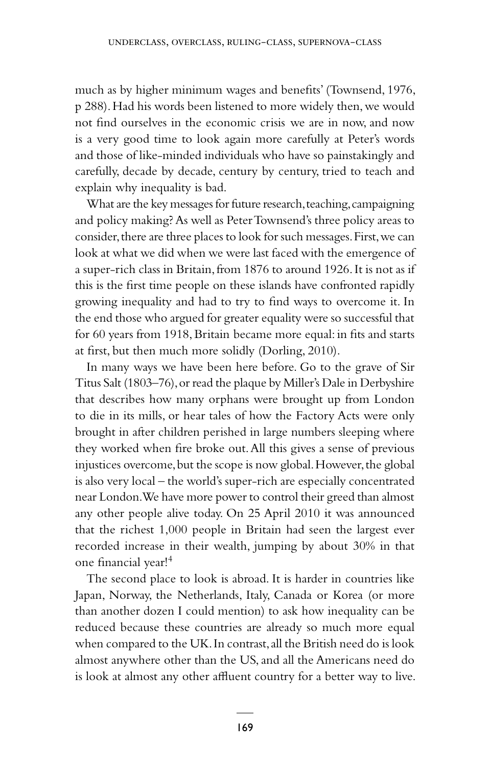much as by higher minimum wages and benefits' (Townsend, 1976, p 288). Had his words been listened to more widely then, we would not find ourselves in the economic crisis we are in now, and now is a very good time to look again more carefully at Peter's words and those of like-minded individuals who have so painstakingly and carefully, decade by decade, century by century, tried to teach and explain why inequality is bad.

What are the key messages for future research, teaching, campaigning and policy making? As well as Peter Townsend's three policy areas to consider, there are three places to look for such messages. First, we can look at what we did when we were last faced with the emergence of a super-rich class in Britain, from 1876 to around 1926. It is not as if this is the first time people on these islands have confronted rapidly growing inequality and had to try to find ways to overcome it. In the end those who argued for greater equality were so successful that for 60 years from 1918, Britain became more equal: in fits and starts at first, but then much more solidly (Dorling, 2010).

In many ways we have been here before. Go to the grave of Sir Titus Salt (1803–76), or read the plaque by Miller's Dale in Derbyshire that describes how many orphans were brought up from London to die in its mills, or hear tales of how the Factory Acts were only brought in after children perished in large numbers sleeping where they worked when fire broke out. All this gives a sense of previous injustices overcome, but the scope is now global. However, the global is also very local – the world's super-rich are especially concentrated near London. We have more power to control their greed than almost any other people alive today. On 25 April 2010 it was announced that the richest 1,000 people in Britain had seen the largest ever recorded increase in their wealth, jumping by about 30% in that one financial year!4

The second place to look is abroad. It is harder in countries like Japan, Norway, the Netherlands, Italy, Canada or Korea (or more than another dozen I could mention) to ask how inequality can be reduced because these countries are already so much more equal when compared to the UK. In contrast, all the British need do is look almost anywhere other than the US, and all the Americans need do is look at almost any other affluent country for a better way to live.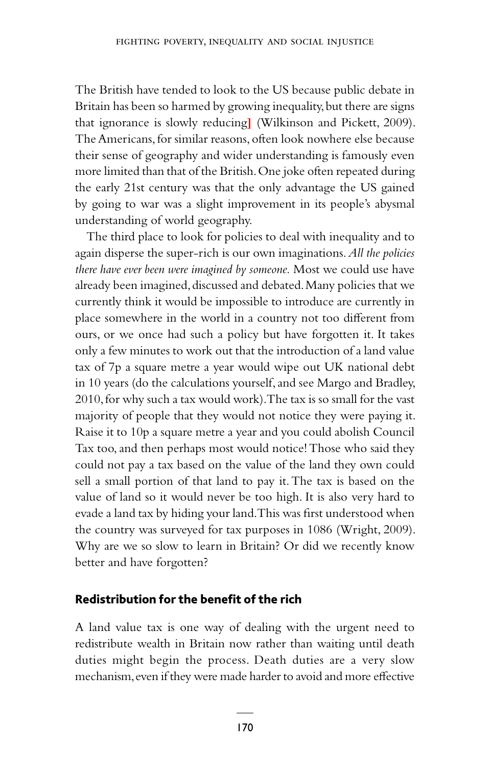The British have tended to look to the US because public debate in Britain has been so harmed by growing inequality, but there are signs that ignorance is slowly reducing**]** (Wilkinson and Pickett, 2009). The Americans, for similar reasons, often look nowhere else because their sense of geography and wider understanding is famously even more limited than that of the British. One joke often repeated during the early 21st century was that the only advantage the US gained by going to war was a slight improvement in its people's abysmal understanding of world geography.

The third place to look for policies to deal with inequality and to again disperse the super-rich is our own imaginations. *All the policies there have ever been were imagined by someone.* Most we could use have already been imagined, discussed and debated. Many policies that we currently think it would be impossible to introduce are currently in place somewhere in the world in a country not too different from ours, or we once had such a policy but have forgotten it. It takes only a few minutes to work out that the introduction of a land value tax of 7p a square metre a year would wipe out UK national debt in 10 years (do the calculations yourself, and see Margo and Bradley, 2010, for why such a tax would work). The tax is so small for the vast majority of people that they would not notice they were paying it. Raise it to 10p a square metre a year and you could abolish Council Tax too, and then perhaps most would notice! Those who said they could not pay a tax based on the value of the land they own could sell a small portion of that land to pay it. The tax is based on the value of land so it would never be too high. It is also very hard to evade a land tax by hiding your land. This was first understood when the country was surveyed for tax purposes in 1086 (Wright, 2009). Why are we so slow to learn in Britain? Or did we recently know better and have forgotten?

## Redistribution for the benefit of the rich

A land value tax is one way of dealing with the urgent need to redistribute wealth in Britain now rather than waiting until death duties might begin the process. Death duties are a very slow mechanism, even if they were made harder to avoid and more effective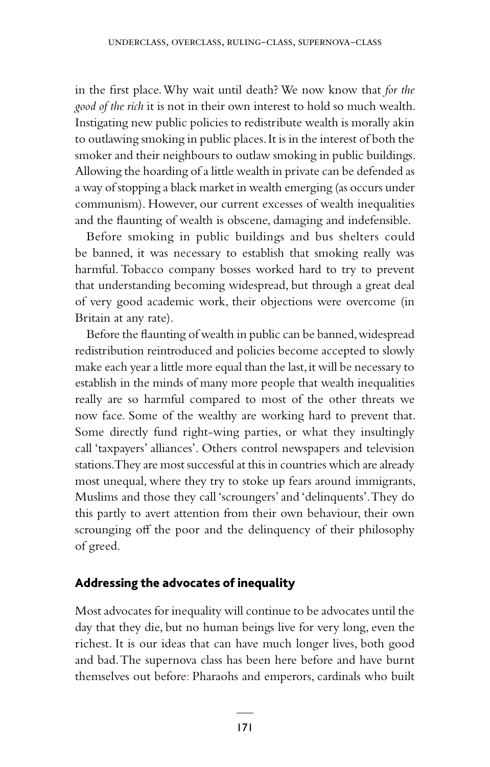in the first place. Why wait until death? We now know that *for the good of the rich* it is not in their own interest to hold so much wealth. Instigating new public policies to redistribute wealth is morally akin to outlawing smoking in public places. It is in the interest of both the smoker and their neighbours to outlaw smoking in public buildings. Allowing the hoarding of a little wealth in private can be defended as a way of stopping a black market in wealth emerging (as occurs under communism). However, our current excesses of wealth inequalities and the flaunting of wealth is obscene, damaging and indefensible.

Before smoking in public buildings and bus shelters could be banned, it was necessary to establish that smoking really was harmful. Tobacco company bosses worked hard to try to prevent that understanding becoming widespread, but through a great deal of very good academic work, their objections were overcome (in Britain at any rate).

Before the flaunting of wealth in public can be banned, widespread redistribution reintroduced and policies become accepted to slowly make each year a little more equal than the last, it will be necessary to establish in the minds of many more people that wealth inequalities really are so harmful compared to most of the other threats we now face. Some of the wealthy are working hard to prevent that. Some directly fund right-wing parties, or what they insultingly call 'taxpayers' alliances'. Others control newspapers and television stations. They are most successful at this in countries which are already most unequal, where they try to stoke up fears around immigrants, Muslims and those they call 'scroungers' and 'delinquents'. They do this partly to avert attention from their own behaviour, their own scrounging off the poor and the delinquency of their philosophy of greed.

# Addressing the advocates of inequality

Most advocates for inequality will continue to be advocates until the day that they die, but no human beings live for very long, even the richest. It is our ideas that can have much longer lives, both good and bad. The supernova class has been here before and have burnt themselves out before: Pharaohs and emperors, cardinals who built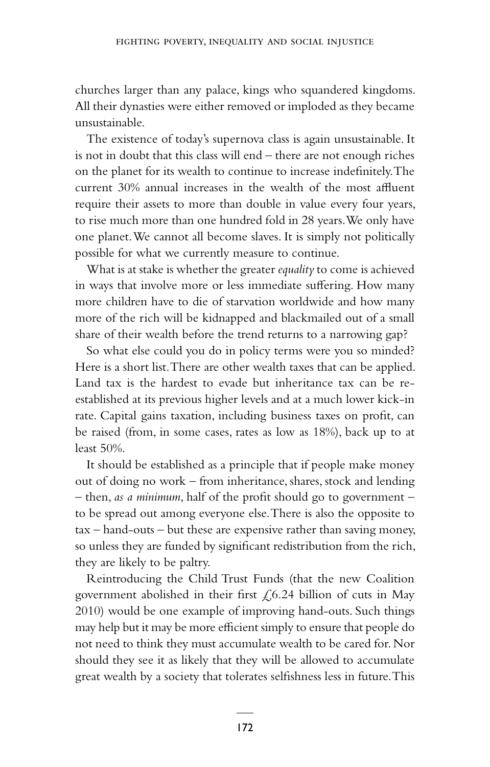churches larger than any palace, kings who squandered kingdoms. All their dynasties were either removed or imploded as they became unsustainable.

The existence of today's supernova class is again unsustainable. It is not in doubt that this class will end – there are not enough riches on the planet for its wealth to continue to increase indefinitely. The current 30% annual increases in the wealth of the most affluent require their assets to more than double in value every four years, to rise much more than one hundred fold in 28 years. We only have one planet. We cannot all become slaves. It is simply not politically possible for what we currently measure to continue.

What is at stake is whether the greater *equality* to come is achieved in ways that involve more or less immediate suffering. How many more children have to die of starvation worldwide and how many more of the rich will be kidnapped and blackmailed out of a small share of their wealth before the trend returns to a narrowing gap?

So what else could you do in policy terms were you so minded? Here is a short list. There are other wealth taxes that can be applied. Land tax is the hardest to evade but inheritance tax can be reestablished at its previous higher levels and at a much lower kick-in rate. Capital gains taxation, including business taxes on profit, can be raised (from, in some cases, rates as low as 18%), back up to at least 50%.

It should be established as a principle that if people make money out of doing no work – from inheritance, shares, stock and lending – then, *as a minimum*, half of the profit should go to government – to be spread out among everyone else. There is also the opposite to tax – hand-outs – but these are expensive rather than saving money, so unless they are funded by significant redistribution from the rich, they are likely to be paltry.

Reintroducing the Child Trust Funds (that the new Coalition government abolished in their first  $\sqrt{26.24}$  billion of cuts in May 2010) would be one example of improving hand-outs. Such things may help but it may be more efficient simply to ensure that people do not need to think they must accumulate wealth to be cared for. Nor should they see it as likely that they will be allowed to accumulate great wealth by a society that tolerates selfishness less in future. This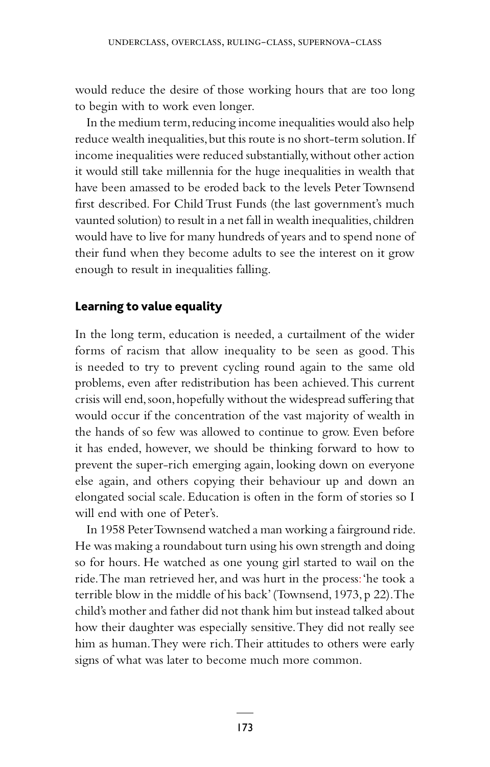would reduce the desire of those working hours that are too long to begin with to work even longer.

In the medium term, reducing income inequalities would also help reduce wealth inequalities, but this route is no short-term solution. If income inequalities were reduced substantially, without other action it would still take millennia for the huge inequalities in wealth that have been amassed to be eroded back to the levels Peter Townsend first described. For Child Trust Funds (the last government's much vaunted solution) to result in a net fall in wealth inequalities, children would have to live for many hundreds of years and to spend none of their fund when they become adults to see the interest on it grow enough to result in inequalities falling.

#### Learning to value equality

In the long term, education is needed, a curtailment of the wider forms of racism that allow inequality to be seen as good. This is needed to try to prevent cycling round again to the same old problems, even after redistribution has been achieved. This current crisis will end, soon, hopefully without the widespread suffering that would occur if the concentration of the vast majority of wealth in the hands of so few was allowed to continue to grow. Even before it has ended, however, we should be thinking forward to how to prevent the super-rich emerging again, looking down on everyone else again, and others copying their behaviour up and down an elongated social scale. Education is often in the form of stories so I will end with one of Peter's.

In 1958 Peter Townsend watched a man working a fairground ride. He was making a roundabout turn using his own strength and doing so for hours. He watched as one young girl started to wail on the ride. The man retrieved her, and was hurt in the process: 'he took a terrible blow in the middle of his back' (Townsend, 1973, p 22). The child's mother and father did not thank him but instead talked about how their daughter was especially sensitive. They did not really see him as human. They were rich. Their attitudes to others were early signs of what was later to become much more common.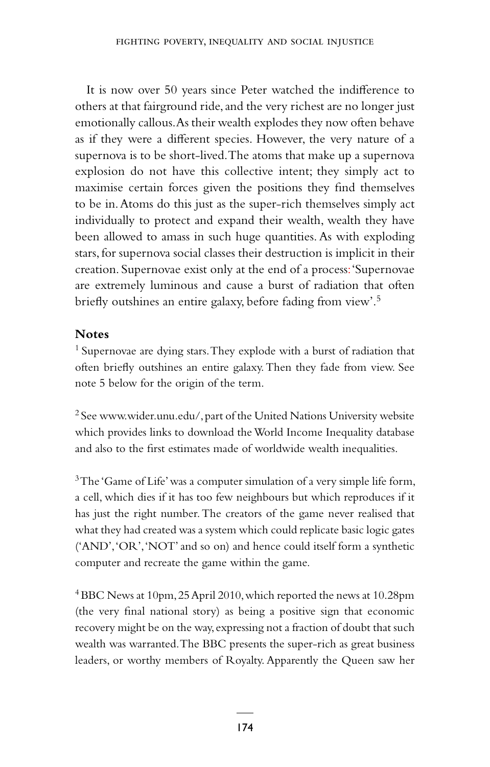It is now over 50 years since Peter watched the indifference to others at that fairground ride, and the very richest are no longer just emotionally callous. As their wealth explodes they now often behave as if they were a different species. However, the very nature of a supernova is to be short-lived. The atoms that make up a supernova explosion do not have this collective intent; they simply act to maximise certain forces given the positions they find themselves to be in. Atoms do this just as the super-rich themselves simply act individually to protect and expand their wealth, wealth they have been allowed to amass in such huge quantities. As with exploding stars, for supernova social classes their destruction is implicit in their creation. Supernovae exist only at the end of a process: 'Supernovae are extremely luminous and cause a burst of radiation that often briefly outshines an entire galaxy, before fading from view'.<sup>5</sup>

#### **Notes**

<sup>1</sup> Supernovae are dying stars. They explode with a burst of radiation that often briefly outshines an entire galaxy. Then they fade from view. See note 5 below for the origin of the term.

2 See www.wider.unu.edu/, part of the United Nations University website which provides links to download the World Income Inequality database and also to the first estimates made of worldwide wealth inequalities.

 $3$ The 'Game of Life' was a computer simulation of a very simple life form, a cell, which dies if it has too few neighbours but which reproduces if it has just the right number. The creators of the game never realised that what they had created was a system which could replicate basic logic gates ('AND', 'OR', 'NOT' and so on) and hence could itself form a synthetic computer and recreate the game within the game.

<sup>4</sup> BBC News at 10pm, 25 April 2010, which reported the news at 10.28pm (the very final national story) as being a positive sign that economic recovery might be on the way, expressing not a fraction of doubt that such wealth was warranted. The BBC presents the super-rich as great business leaders, or worthy members of Royalty. Apparently the Queen saw her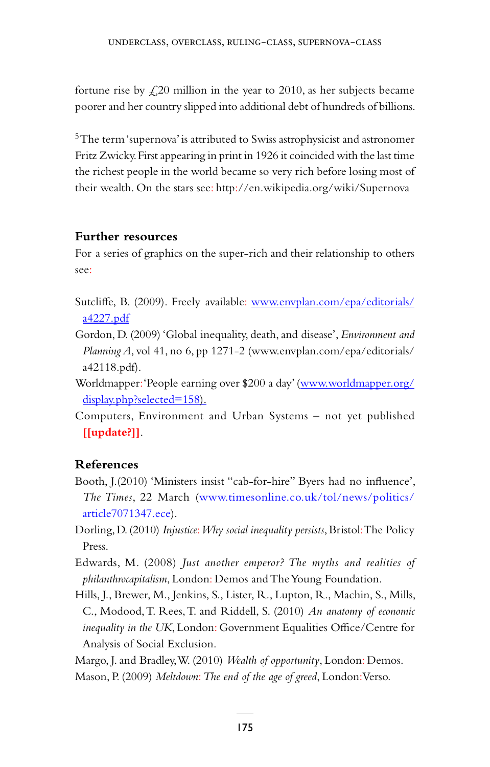fortune rise by  $\mathcal{L}20$  million in the year to 2010, as her subjects became poorer and her country slipped into additional debt of hundreds of billions.

5 The term 'supernova' is attributed to Swiss astrophysicist and astronomer Fritz Zwicky. First appearing in print in 1926 it coincided with the last time the richest people in the world became so very rich before losing most of their wealth. On the stars see: http://en.wikipedia.org/wiki/Supernova

#### **Further resources**

For a series of graphics on the super-rich and their relationship to others see:

- Sutcliffe, B. (2009). Freely available: www.envplan.com/epa/editorials/ a4227.pdf
- Gordon, D. (2009) 'Global inequality, death, and disease', *Environment and Planning A*, vol 41, no 6, pp 1271-2 (www.envplan.com/epa/editorials/ a42118.pdf).
- Worldmapper: 'People earning over \$200 a day' (www.worldmapper.org/ display.php?selected=158).
- Computers, Environment and Urban Systems not yet published **[[update?]]**.

#### **References**

- Booth, J.(2010) 'Ministers insist "cab-for-hire" Byers had no influence', *The Times*, 22 March (www.timesonline.co.uk/tol/news/politics/ article7071347.ece).
- Dorling, D. (2010) *Injustice*: *Why social inequality persists*, Bristol: The Policy Press.
- Edwards, M. (2008) *Just another emperor? The myths and realities of philanthrocapitalism*, London: Demos and The Young Foundation.
- Hills, J., Brewer, M., Jenkins, S., Lister, R., Lupton, R., Machin, S., Mills, C., Modood, T. Rees, T. and Riddell, S. (2010) *An anatomy of economic inequality in the UK*, London: Government Equalities Office/Centre for Analysis of Social Exclusion.

Margo, J. and Bradley, W. (2010) *Wealth of opportunity*, London: Demos. Mason, P. (2009) *Meltdown*: *The end of the age of greed*, London: Verso.